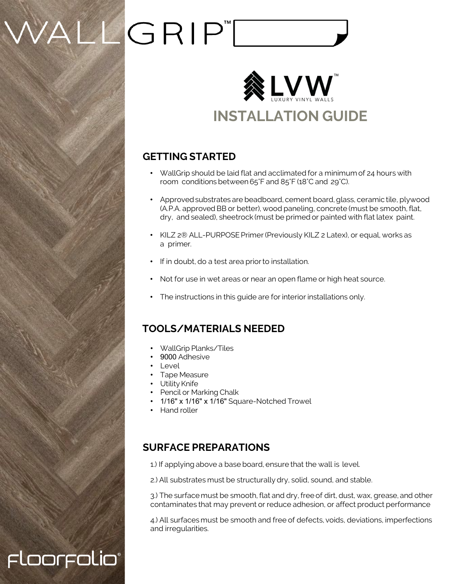## WALLGRIP"[



#### **GETTING STARTED**

- WallGrip should be laid flat and acclimated for a minimum of 24 hours with room conditions between 65°F and 85°F (18°C and 29°C).
- Approved substrates are beadboard, cement board, glass, ceramic tile, plywood (A.P.A. approved BB or better), wood paneling, concrete (must be smooth, flat, dry, and sealed), sheetrock (must be primed or painted with flat latex paint.
- KILZ 2® ALL-PURPOSE Primer (Previously KILZ 2 Latex), or equal, works as a primer.
- If in doubt, do a test area prior to installation.
- Not for use in wet areas or near an open flame or high heat source.
- The instructions in this guide are for interior installations only.

#### **TOOLS/MATERIALS NEEDED**

- WallGrip Planks/Tiles
- 9000 Adhesive
- Level

Floorfolio®

- Tape Measure
- Utility Knife
- Pencil or Marking Chalk
- 1/16" x 1/16" x 1/16" Square-Notched Trowel
- Hand roller

#### **SURFACE PREPARATIONS**

1.) If applying above a base board, ensure that the wall is level.

2.) All substrates must be structurally dry, solid, sound, and stable.

3.) The surface must be smooth, flat and dry, free of dirt, dust, wax, grease, and other contaminates that may prevent or reduce adhesion, or affect product performance

4.) All surfaces must be smooth and free of defects, voids, deviations, imperfections and irregularities.